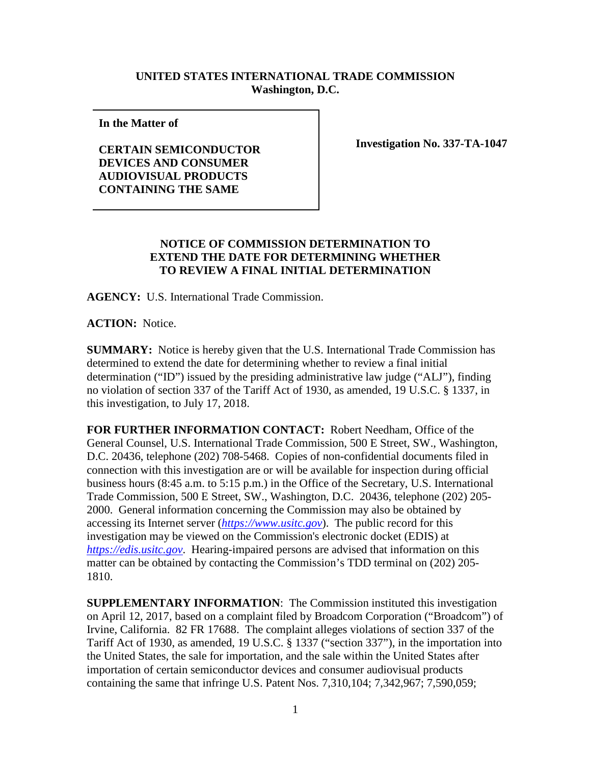## **UNITED STATES INTERNATIONAL TRADE COMMISSION Washington, D.C.**

**In the Matter of** 

**CERTAIN SEMICONDUCTOR DEVICES AND CONSUMER AUDIOVISUAL PRODUCTS CONTAINING THE SAME**

**Investigation No. 337-TA-1047**

## **NOTICE OF COMMISSION DETERMINATION TO EXTEND THE DATE FOR DETERMINING WHETHER TO REVIEW A FINAL INITIAL DETERMINATION**

**AGENCY:** U.S. International Trade Commission.

**ACTION:** Notice.

**SUMMARY:** Notice is hereby given that the U.S. International Trade Commission has determined to extend the date for determining whether to review a final initial determination ("ID") issued by the presiding administrative law judge ("ALJ"), finding no violation of section 337 of the Tariff Act of 1930, as amended, 19 U.S.C. § 1337, in this investigation, to July 17, 2018.

**FOR FURTHER INFORMATION CONTACT:** Robert Needham, Office of the General Counsel, U.S. International Trade Commission, 500 E Street, SW., Washington, D.C. 20436, telephone (202) 708-5468. Copies of non-confidential documents filed in connection with this investigation are or will be available for inspection during official business hours (8:45 a.m. to 5:15 p.m.) in the Office of the Secretary, U.S. International Trade Commission, 500 E Street, SW., Washington, D.C. 20436, telephone (202) 205- 2000. General information concerning the Commission may also be obtained by accessing its Internet server (*[https://www.usitc.gov](https://www.usitc.gov/)*). The public record for this investigation may be viewed on the Commission's electronic docket (EDIS) at *[https://edis.usitc.gov](https://edis.usitc.gov/)*. Hearing-impaired persons are advised that information on this matter can be obtained by contacting the Commission's TDD terminal on (202) 205- 1810.

**SUPPLEMENTARY INFORMATION**: The Commission instituted this investigation on April 12, 2017, based on a complaint filed by Broadcom Corporation ("Broadcom") of Irvine, California. 82 FR 17688. The complaint alleges violations of section 337 of the Tariff Act of 1930, as amended, 19 U.S.C. § 1337 ("section 337"), in the importation into the United States, the sale for importation, and the sale within the United States after importation of certain semiconductor devices and consumer audiovisual products containing the same that infringe U.S. Patent Nos. 7,310,104; 7,342,967; 7,590,059;